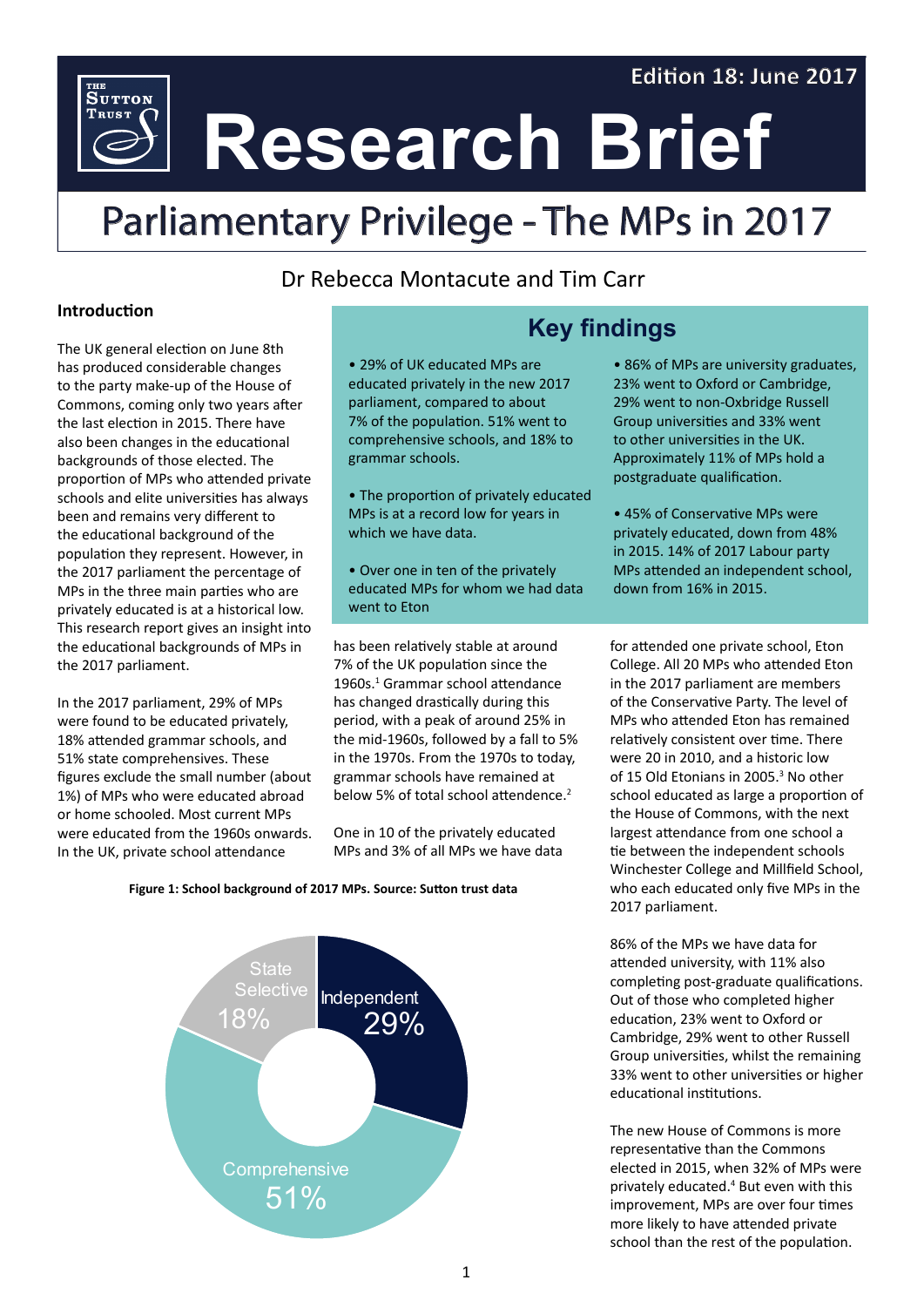### **Edition 18: June 2017**

**Research Brief**

# Parliamentary Privilege - The MPs in 2017

## Dr Rebecca Montacute and Tim Carr

#### **Introduction**

THE<br>Sutton **TRUST** 

The UK general election on June 8th has produced considerable changes to the party make-up of the House of Commons, coming only two years after the last election in 2015. There have also been changes in the educational backgrounds of those elected. The proportion of MPs who attended private schools and elite universities has always been and remains very different to the educational background of the population they represent. However, in the 2017 parliament the percentage of MPs in the three main parties who are privately educated is at a historical low. This research report gives an insight into the educational backgrounds of MPs in the 2017 parliament.

In the 2017 parliament, 29% of MPs were found to be educated privately, 18% attended grammar schools, and 51% state comprehensives. These figures exclude the small number (about 1%) of MPs who were educated abroad or home schooled. Most current MPs were educated from the 1960s onwards. In the UK, private school attendance

• 29% of UK educated MPs are educated privately in the new 2017 parliament, compared to about 7% of the population. 51% went to comprehensive schools, and 18% to grammar schools.

• The proportion of privately educated MPs is at a record low for years in which we have data.

• Over one in ten of the privately educated MPs for whom we had data went to Eton

has been relatively stable at around 7% of the UK population since the 1960s.<sup>1</sup> Grammar school attendance has changed drastically during this period, with a peak of around 25% in the mid-1960s, followed by a fall to 5% in the 1970s. From the 1970s to today, grammar schools have remained at below 5% of total school attendence.<sup>2</sup>

One in 10 of the privately educated MPs and 3% of all MPs we have data

# **Key findings**

- 86% of MPs are university graduates, 23% went to Oxford or Cambridge, 29% went to non-Oxbridge Russell Group universities and 33% went to other universities in the UK. Approximately 11% of MPs hold a postgraduate qualification.
- 45% of Conservative MPs were privately educated, down from 48% in 2015. 14% of 2017 Labour party MPs attended an independent school, down from 16% in 2015.

for attended one private school, Eton College. All 20 MPs who attended Eton in the 2017 parliament are members of the Conservative Party. The level of MPs who attended Eton has remained relatively consistent over time. There were 20 in 2010, and a historic low of 15 Old Etonians in 2005.<sup>3</sup> No other school educated as large a proportion of the House of Commons, with the next largest attendance from one school a tie between the independent schools Winchester College and Millfield School, who each educated only five MPs in the 2017 parliament.

86% of the MPs we have data for attended university, with 11% also completing post-graduate qualifications. Out of those who completed higher education, 23% went to Oxford or Cambridge, 29% went to other Russell Group universities, whilst the remaining 33% went to other universities or higher educational institutions.

The new House of Commons is more representative than the Commons elected in 2015, when 32% of MPs were privately educated.<sup>4</sup> But even with this improvement, MPs are over four times more likely to have attended private school than the rest of the population.

#### **Figure 1: School background of 2017 MPs. Source: Sutton trust data**

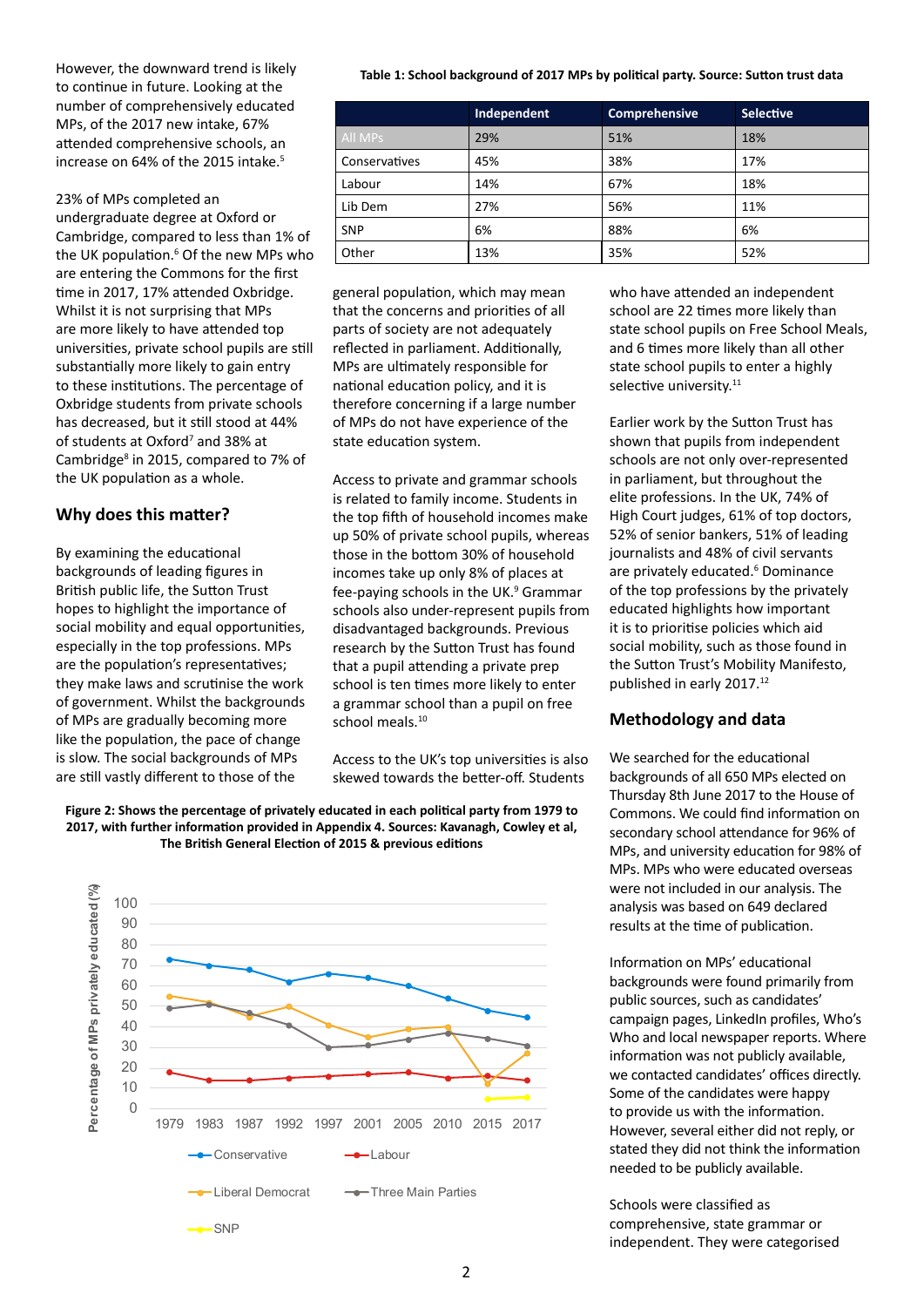However, the downward trend is likely to continue in future. Looking at the number of comprehensively educated MPs, of the 2017 new intake, 67% attended comprehensive schools, an increase on 64% of the 2015 intake.<sup>5</sup>

23% of MPs completed an undergraduate degree at Oxford or Cambridge, compared to less than 1% of the UK population.<sup>6</sup> Of the new MPs who are entering the Commons for the first time in 2017, 17% attended Oxbridge. Whilst it is not surprising that MPs are more likely to have attended top universities, private school pupils are still substantially more likely to gain entry to these institutions. The percentage of Oxbridge students from private schools has decreased, but it still stood at 44% of students at Oxford<sup>7</sup> and 38% at Cambridge<sup>8</sup> in 2015, compared to 7% of the UK population as a whole.

#### **Why does this matter?**

By examining the educational backgrounds of leading figures in British public life, the Sutton Trust hopes to highlight the importance of social mobility and equal opportunities, especially in the top professions. MPs are the population's representatives; they make laws and scrutinise the work of government. Whilst the backgrounds of MPs are gradually becoming more like the population, the pace of change is slow. The social backgrounds of MPs are still vastly different to those of the

#### **Table 1: School background of 2017 MPs by political party. Source: Sutton trust data**

|                  | Comprehensive<br>Independent |     | <b>Selective</b> |  |
|------------------|------------------------------|-----|------------------|--|
| All MPs          | 29%                          | 51% | 18%              |  |
| Conservatives    | 45%                          | 38% | 17%              |  |
| Labour           | 14%                          |     | 18%              |  |
| 27%<br>Lib Dem   |                              | 56% | 11%              |  |
| 6%<br><b>SNP</b> |                              | 88% | 6%               |  |
| Other            | 13%                          |     | 52%              |  |

general population, which may mean that the concerns and priorities of all parts of society are not adequately reflected in parliament. Additionally, MPs are ultimately responsible for national education policy, and it is therefore concerning if a large number of MPs do not have experience of the state education system.

Access to private and grammar schools is related to family income. Students in the top fifth of household incomes make up 50% of private school pupils, whereas those in the bottom 30% of household incomes take up only 8% of places at fee-paying schools in the UK.<sup>9</sup> Grammar schools also under-represent pupils from disadvantaged backgrounds. Previous research by the Sutton Trust has found that a pupil attending a private prep school is ten times more likely to enter a grammar school than a pupil on free school meals.<sup>10</sup>

Access to the UK's top universities is also skewed towards the better-off. Students





who have attended an independent school are 22 times more likely than state school pupils on Free School Meals, and 6 times more likely than all other state school pupils to enter a highly selective university.<sup>11</sup>

Earlier work by the Sutton Trust has shown that pupils from independent schools are not only over-represented in parliament, but throughout the elite professions. In the UK, 74% of High Court judges, 61% of top doctors, 52% of senior bankers, 51% of leading journalists and 48% of civil servants are privately educated.<sup>6</sup> Dominance of the top professions by the privately educated highlights how important it is to prioritise policies which aid social mobility, such as those found in the Sutton Trust's Mobility Manifesto, published in early 2017.<sup>12</sup>

#### **Methodology and data**

We searched for the educational backgrounds of all 650 MPs elected on Thursday 8th June 2017 to the House of Commons. We could find information on secondary school attendance for 96% of MPs, and university education for 98% of MPs. MPs who were educated overseas were not included in our analysis. The analysis was based on 649 declared results at the time of publication.

Information on MPs' educational backgrounds were found primarily from public sources, such as candidates' campaign pages, LinkedIn profiles, Who's Who and local newspaper reports. Where information was not publicly available, we contacted candidates' offices directly. Some of the candidates were happy to provide us with the information. However, several either did not reply, or stated they did not think the information needed to be publicly available.

Schools were classified as comprehensive, state grammar or independent. They were categorised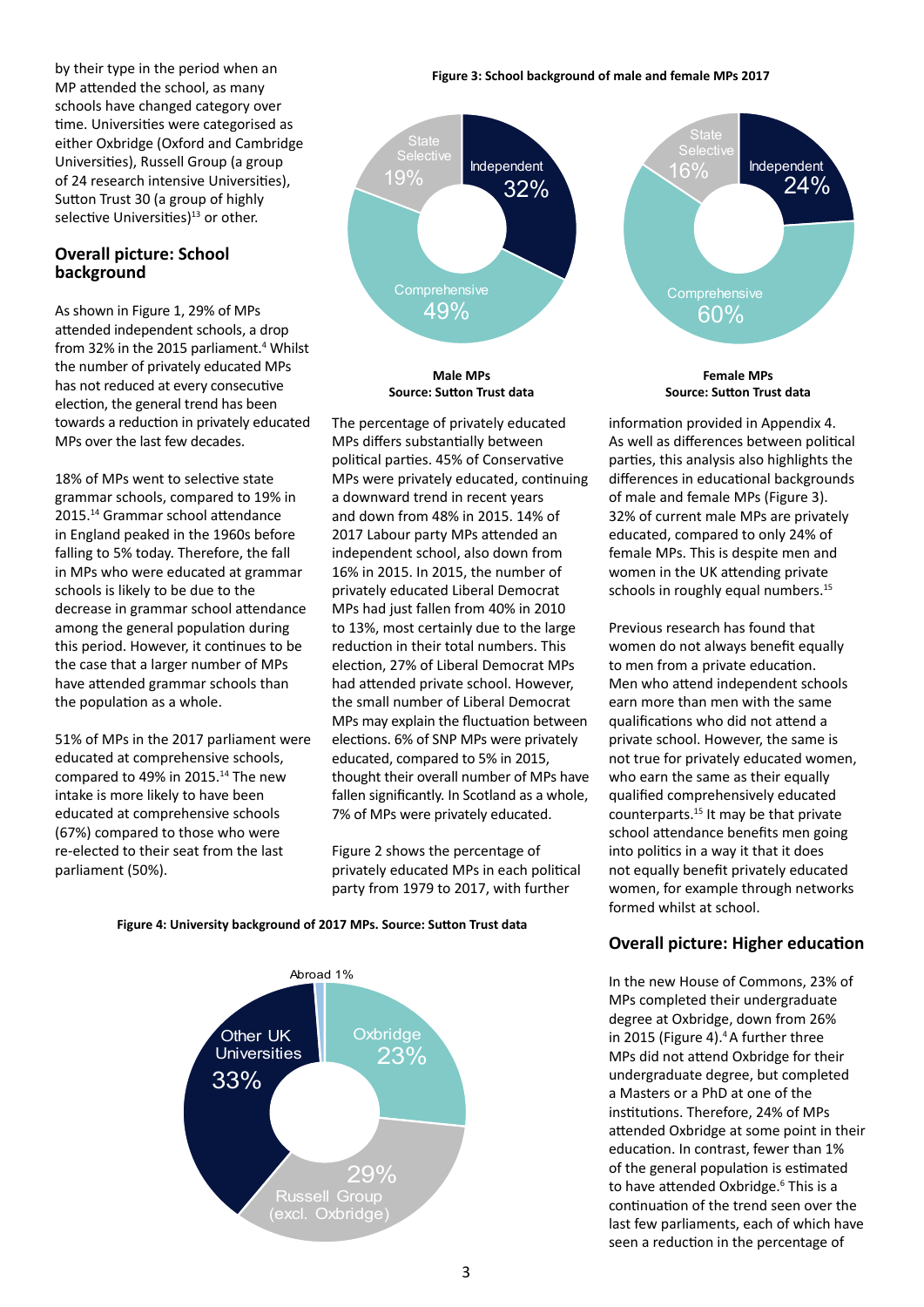by their type in the period when an MP attended the school, as many schools have changed category over time. Universities were categorised as either Oxbridge (Oxford and Cambridge Universities), Russell Group (a group of 24 research intensive Universities), Sutton Trust 30 (a group of highly selective Universities) $13$  or other.

#### **Overall picture: School background**

As shown in Figure 1, 29% of MPs attended independent schools, a drop from 32% in the 2015 parliament.<sup>4</sup> Whilst the number of privately educated MPs has not reduced at every consecutive election, the general trend has been towards a reduction in privately educated MPs over the last few decades.

18% of MPs went to selective state grammar schools, compared to 19% in 2015.<sup>14</sup> Grammar school attendance in England peaked in the 1960s before falling to 5% today. Therefore, the fall in MPs who were educated at grammar schools is likely to be due to the decrease in grammar school attendance among the general population during this period. However, it continues to be the case that a larger number of MPs have attended grammar schools than the population as a whole.

51% of MPs in the 2017 parliament were educated at comprehensive schools, compared to 49% in 2015.<sup>14</sup> The new intake is more likely to have been educated at comprehensive schools (67%) compared to those who were re-elected to their seat from the last parliament (50%).

#### **Figure 3: School background of male and female MPs 2017**



**Male MPs Source: Sutton Trust data**

The percentage of privately educated MPs differs substantially between political parties. 45% of Conservative MPs were privately educated, continuing a downward trend in recent years and down from 48% in 2015. 14% of 2017 Labour party MPs attended an independent school, also down from 16% in 2015. In 2015, the number of privately educated Liberal Democrat MPs had just fallen from 40% in 2010 to 13%, most certainly due to the large reduction in their total numbers. This election, 27% of Liberal Democrat MPs had attended private school. However, the small number of Liberal Democrat MPs may explain the fluctuation between elections. 6% of SNP MPs were privately educated, compared to 5% in 2015, thought their overall number of MPs have fallen significantly. In Scotland as a whole, 7% of MPs were privately educated.

Figure 2 shows the percentage of privately educated MPs in each political party from 1979 to 2017, with further





**Female MPs Source: Sutton Trust data**

information provided in Appendix 4. As well as differences between political parties, this analysis also highlights the differences in educational backgrounds of male and female MPs (Figure 3). 32% of current male MPs are privately educated, compared to only 24% of female MPs. This is despite men and women in the UK attending private schools in roughly equal numbers.<sup>15</sup>

Previous research has found that women do not always benefit equally to men from a private education. Men who attend independent schools earn more than men with the same qualifications who did not attend a private school. However, the same is not true for privately educated women, who earn the same as their equally qualified comprehensively educated counterparts.15 It may be that private school attendance benefits men going into politics in a way it that it does not equally benefit privately educated women, for example through networks formed whilst at school.

#### **Overall picture: Higher education**

In the new House of Commons, 23% of MPs completed their undergraduate degree at Oxbridge, down from 26% in 2015 (Figure 4).<sup>4</sup> A further three MPs did not attend Oxbridge for their undergraduate degree, but completed a Masters or a PhD at one of the institutions. Therefore, 24% of MPs attended Oxbridge at some point in their education. In contrast, fewer than 1% of the general population is estimated to have attended Oxbridge.<sup>6</sup> This is a continuation of the trend seen over the last few parliaments, each of which have seen a reduction in the percentage of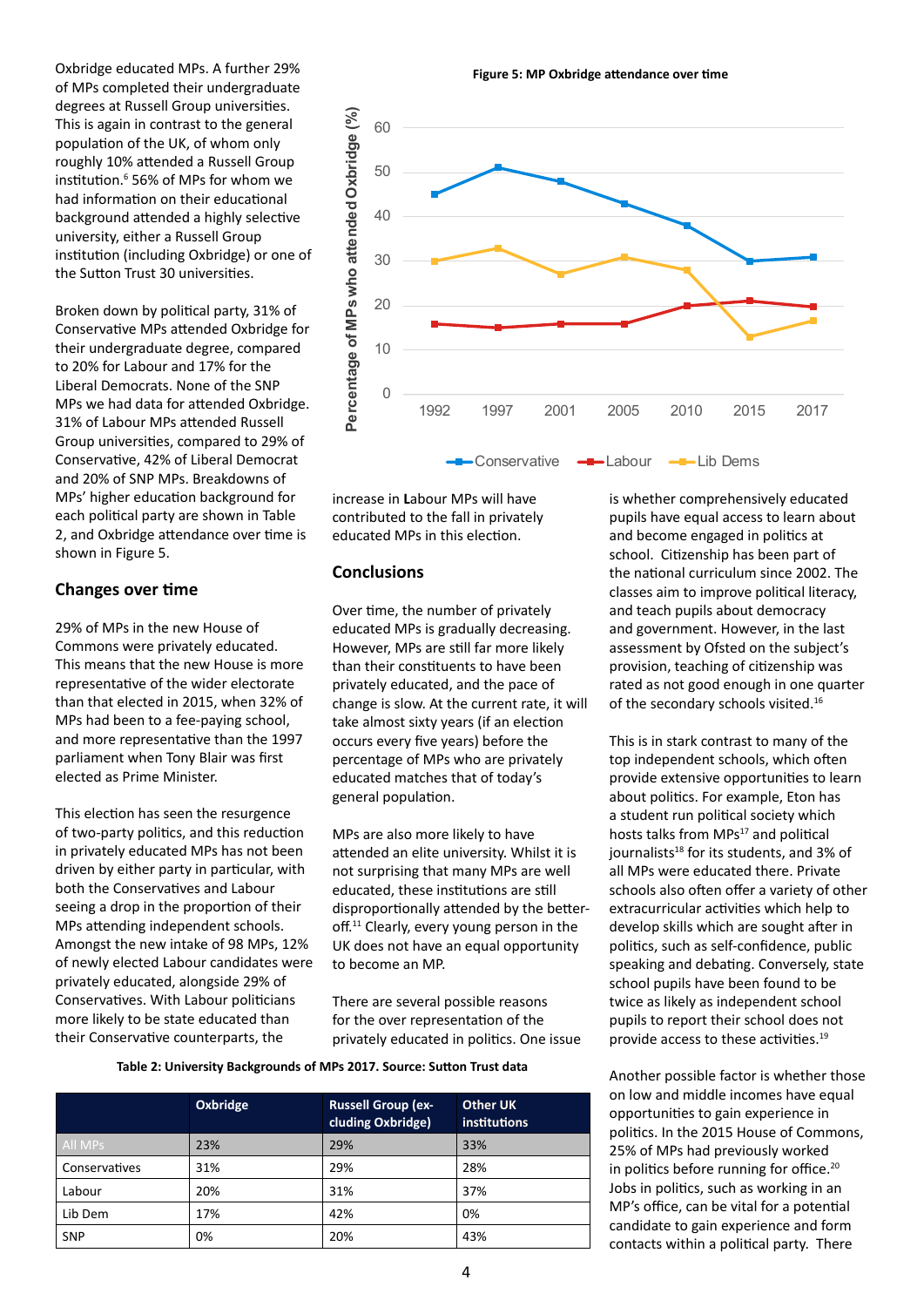Oxbridge educated MPs. A further 29% of MPs completed their undergraduate degrees at Russell Group universities. This is again in contrast to the general population of the UK, of whom only roughly 10% attended a Russell Group institution.6 56% of MPs for whom we had information on their educational background attended a highly selective university, either a Russell Group institution (including Oxbridge) or one of the Sutton Trust 30 universities.

Broken down by political party, 31% of Conservative MPs attended Oxbridge for their undergraduate degree, compared to 20% for Labour and 17% for the Liberal Democrats. None of the SNP MPs we had data for attended Oxbridge. 31% of Labour MPs attended Russell Group universities, compared to 29% of Conservative, 42% of Liberal Democrat and 20% of SNP MPs. Breakdowns of MPs' higher education background for each political party are shown in Table 2, and Oxbridge attendance over time is shown in Figure 5.

#### **Changes over time**

29% of MPs in the new House of Commons were privately educated. This means that the new House is more representative of the wider electorate than that elected in 2015, when 32% of MPs had been to a fee-paying school, and more representative than the 1997 parliament when Tony Blair was first elected as Prime Minister.

This election has seen the resurgence of two-party politics, and this reduction in privately educated MPs has not been driven by either party in particular, with both the Conservatives and Labour seeing a drop in the proportion of their MPs attending independent schools. Amongst the new intake of 98 MPs, 12% of newly elected Labour candidates were privately educated, alongside 29% of Conservatives. With Labour politicians more likely to be state educated than their Conservative counterparts, the

**Figure 5: MP Oxbridge attendance over time**



increase in **L**abour MPs will have contributed to the fall in privately educated MPs in this election.

#### **Conclusions**

Over time, the number of privately educated MPs is gradually decreasing. However, MPs are still far more likely than their constituents to have been privately educated, and the pace of change is slow. At the current rate, it will take almost sixty years (if an election occurs every five years) before the percentage of MPs who are privately educated matches that of today's general population.

MPs are also more likely to have attended an elite university. Whilst it is not surprising that many MPs are well educated, these institutions are still disproportionally attended by the betteroff.<sup>11</sup> Clearly, every young person in the UK does not have an equal opportunity to become an MP.

There are several possible reasons for the over representation of the privately educated in politics. One issue

**Table 2: University Backgrounds of MPs 2017. Source: Sutton Trust data**

|                | Oxbridge | <b>Russell Group (ex-</b><br>cluding Oxbridge) | <b>Other UK</b><br>institutions |  |
|----------------|----------|------------------------------------------------|---------------------------------|--|
| <b>All MPs</b> | 23%      | 29%                                            | 33%                             |  |
| Conservatives  | 31%      | 29%                                            | 28%                             |  |
| Labour         | 20%      | 31%                                            | 37%                             |  |
| Lib Dem        | 17%      | 42%                                            | 0%                              |  |
| <b>SNP</b>     | 0%       | 20%                                            | 43%                             |  |

is whether comprehensively educated pupils have equal access to learn about and become engaged in politics at school. Citizenship has been part of the national curriculum since 2002. The classes aim to improve political literacy, and teach pupils about democracy and government. However, in the last assessment by Ofsted on the subject's provision, teaching of citizenship was rated as not good enough in one quarter of the secondary schools visited.<sup>16</sup>

This is in stark contrast to many of the top independent schools, which often provide extensive opportunities to learn about politics. For example, Eton has a student run political society which hosts talks from MPs<sup>17</sup> and political journalists<sup>18</sup> for its students, and 3% of all MPs were educated there. Private schools also often offer a variety of other extracurricular activities which help to develop skills which are sought after in politics, such as self-confidence, public speaking and debating. Conversely, state school pupils have been found to be twice as likely as independent school pupils to report their school does not provide access to these activities.19

Another possible factor is whether those on low and middle incomes have equal opportunities to gain experience in politics. In the 2015 House of Commons, 25% of MPs had previously worked in politics before running for office.<sup>20</sup> Jobs in politics, such as working in an MP's office, can be vital for a potential candidate to gain experience and form contacts within a political party. There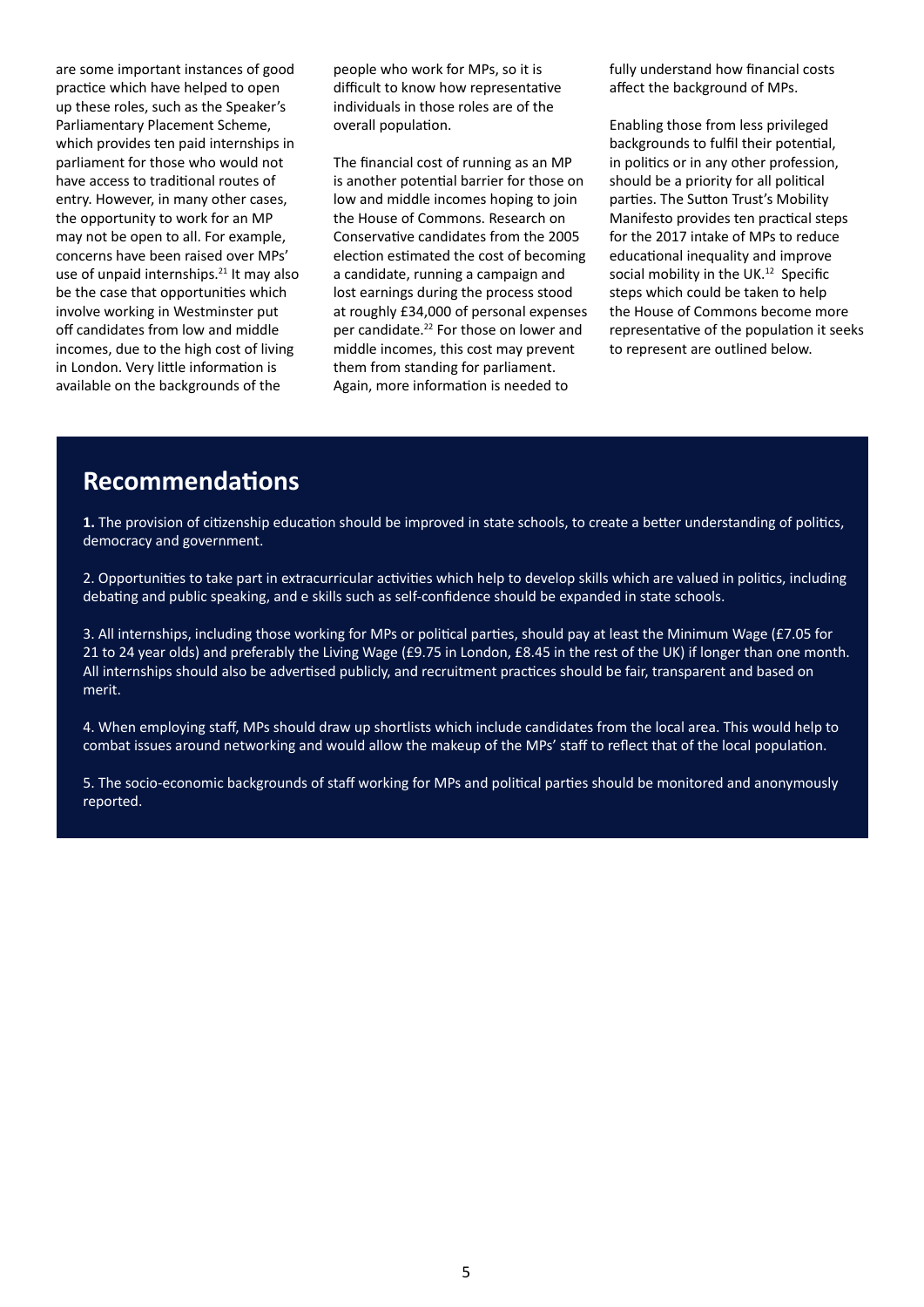are some important instances of good practice which have helped to open up these roles, such as the Speaker's Parliamentary Placement Scheme, which provides ten paid internships in parliament for those who would not have access to traditional routes of entry. However, in many other cases, the opportunity to work for an MP may not be open to all. For example, concerns have been raised over MPs' use of unpaid internships.<sup>21</sup> It may also be the case that opportunities which involve working in Westminster put off candidates from low and middle incomes, due to the high cost of living in London. Very little information is available on the backgrounds of the

people who work for MPs, so it is difficult to know how representative individuals in those roles are of the overall population.

The financial cost of running as an MP is another potential barrier for those on low and middle incomes hoping to join the House of Commons. Research on Conservative candidates from the 2005 election estimated the cost of becoming a candidate, running a campaign and lost earnings during the process stood at roughly £34,000 of personal expenses per candidate.<sup>22</sup> For those on lower and middle incomes, this cost may prevent them from standing for parliament. Again, more information is needed to

fully understand how financial costs affect the background of MPs.

Enabling those from less privileged backgrounds to fulfil their potential, in politics or in any other profession, should be a priority for all political parties. The Sutton Trust's Mobility Manifesto provides ten practical steps for the 2017 intake of MPs to reduce educational inequality and improve social mobility in the UK.<sup>12</sup> Specific steps which could be taken to help the House of Commons become more representative of the population it seeks to represent are outlined below.

# **Recommendations**

**1.** The provision of citizenship education should be improved in state schools, to create a better understanding of politics, democracy and government.

2. Opportunities to take part in extracurricular activities which help to develop skills which are valued in politics, including debating and public speaking, and e skills such as self-confidence should be expanded in state schools.

3. All internships, including those working for MPs or political parties, should pay at least the Minimum Wage (£7.05 for 21 to 24 year olds) and preferably the Living Wage (£9.75 in London, £8.45 in the rest of the UK) if longer than one month. All internships should also be advertised publicly, and recruitment practices should be fair, transparent and based on merit.

4. When employing staff, MPs should draw up shortlists which include candidates from the local area. This would help to combat issues around networking and would allow the makeup of the MPs' staff to reflect that of the local population.

5. The socio-economic backgrounds of staff working for MPs and political parties should be monitored and anonymously reported.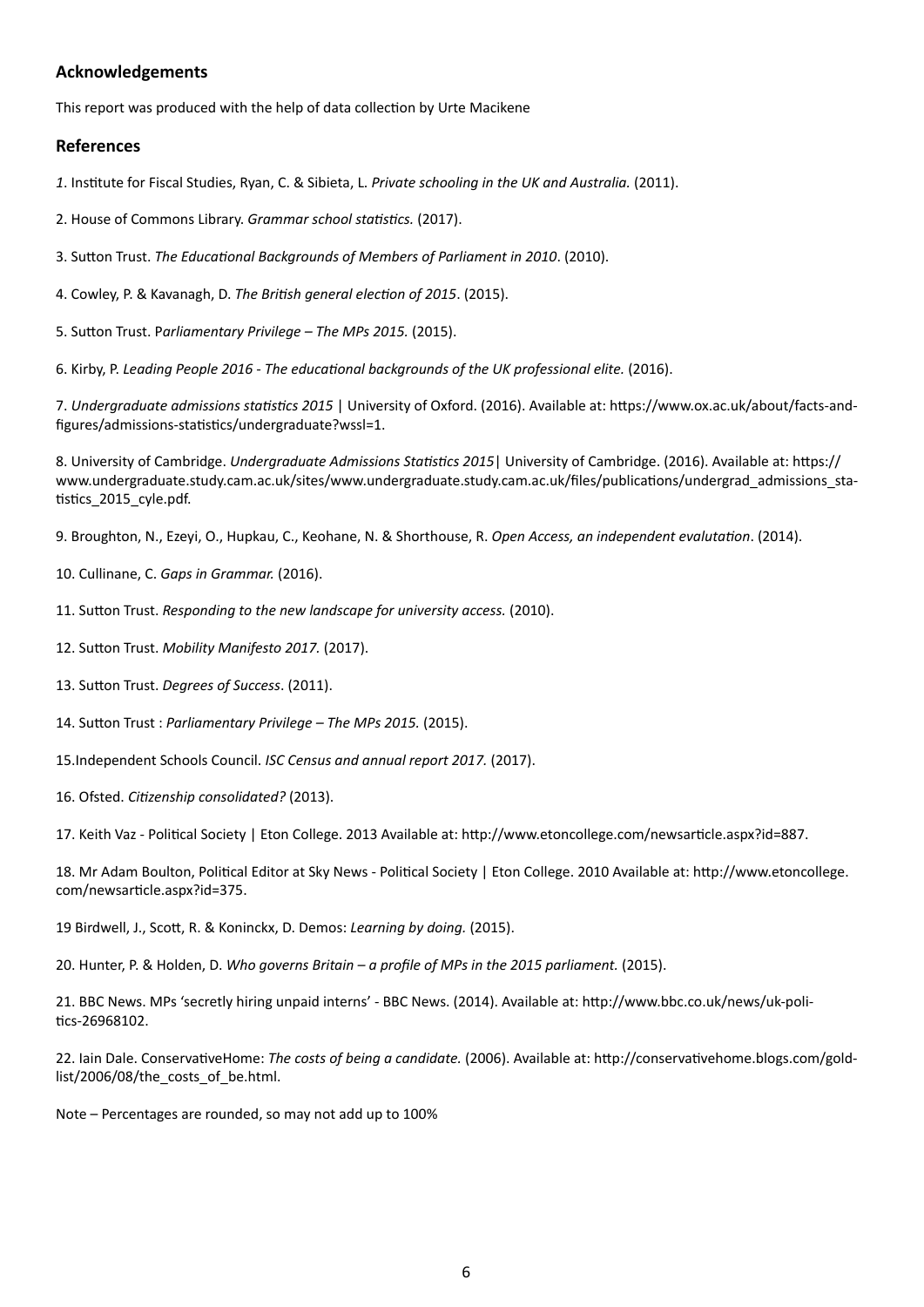#### **Acknowledgements**

This report was produced with the help of data collection by Urte Macikene

#### **References**

*1*. Institute for Fiscal Studies, Ryan, C. & Sibieta, L. *Private schooling in the UK and Australia.* (2011).

- 2. House of Commons Library. *Grammar school statistics.* (2017).
- 3. Sutton Trust. *The Educational Backgrounds of Members of Parliament in 2010*. (2010).
- 4. Cowley, P. & Kavanagh, D. *The British general election of 2015*. (2015).
- 5. Sutton Trust. P*arliamentary Privilege The MPs 2015.* (2015).

6. Kirby, P. *Leading People 2016 - The educational backgrounds of the UK professional elite.* (2016).

7. *Undergraduate admissions statistics 2015* | University of Oxford. (2016). Available at: https://www.ox.ac.uk/about/facts-andfigures/admissions-statistics/undergraduate?wssl=1.

8. University of Cambridge. *Undergraduate Admissions Statistics 2015*| University of Cambridge. (2016). Available at: https:// www.undergraduate.study.cam.ac.uk/sites/www.undergraduate.study.cam.ac.uk/files/publications/undergrad\_admissions\_statistics\_2015\_cyle.pdf.

9. Broughton, N., Ezeyi, O., Hupkau, C., Keohane, N. & Shorthouse, R. *Open Access, an independent evalutation*. (2014).

- 10. Cullinane, C. *Gaps in Grammar.* (2016).
- 11. Sutton Trust. *Responding to the new landscape for university access.* (2010).
- 12. Sutton Trust. *Mobility Manifesto 2017.* (2017).
- 13. Sutton Trust. *Degrees of Success*. (2011).
- 14. Sutton Trust : *Parliamentary Privilege The MPs 2015.* (2015).
- 15.Independent Schools Council. *ISC Census and annual report 2017.* (2017).
- 16. Ofsted. *Citizenship consolidated?* (2013).

17. Keith Vaz - Political Society | Eton College. 2013 Available at: http://www.etoncollege.com/newsarticle.aspx?id=887.

18. Mr Adam Boulton, Political Editor at Sky News - Political Society | Eton College. 2010 Available at: http://www.etoncollege. com/newsarticle.aspx?id=375.

19 Birdwell, J., Scott, R. & Koninckx, D. Demos: *Learning by doing.* (2015).

20. Hunter, P. & Holden, D. *Who governs Britain – a profile of MPs in the 2015 parliament.* (2015).

21. BBC News. MPs 'secretly hiring unpaid interns' - BBC News. (2014). Available at: http://www.bbc.co.uk/news/uk-politics-26968102.

22. Iain Dale. ConservativeHome: *The costs of being a candidate.* (2006). Available at: http://conservativehome.blogs.com/goldlist/2006/08/the\_costs\_of\_be.html.

Note – Percentages are rounded, so may not add up to 100%